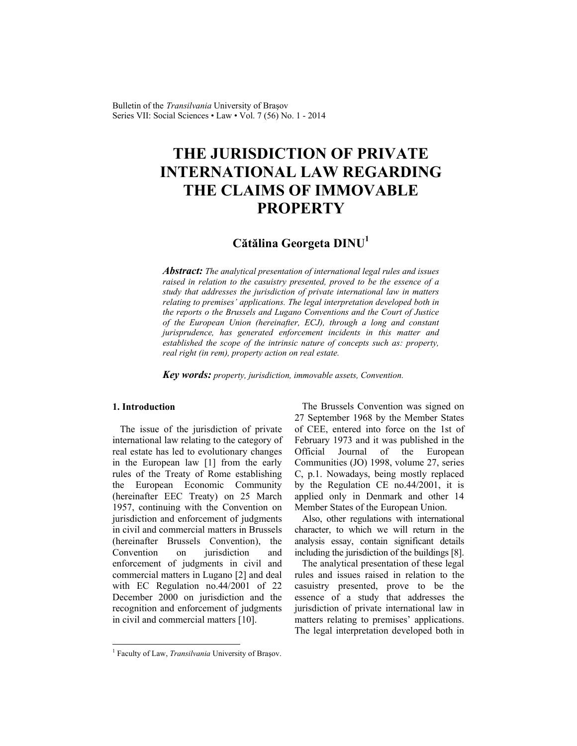Bulletin of the *Transilvania* University of Braşov Series VII: Social Sciences • Law • Vol. 7 (56) No. 1 - 2014

# **THE JURISDICTION OF PRIVATE INTERNATIONAL LAW REGARDING THE CLAIMS OF IMMOVABLE PROPERTY**

# **Cătălina Georgeta DINU<sup>1</sup>**

*Abstract: The analytical presentation of international legal rules and issues raised in relation to the casuistry presented, proved to be the essence of a study that addresses the jurisdiction of private international law in matters relating to premises' applications. The legal interpretation developed both in the reports o the Brussels and Lugano Conventions and the Court of Justice of the European Union (hereinafter, ECJ), through a long and constant jurisprudence, has generated enforcement incidents in this matter and established the scope of the intrinsic nature of concepts such as: property, real right (in rem), property action on real estate.* 

*Key words: property, jurisdiction, immovable assets, Convention.*

# **1. Introduction**

 $\overline{a}$ 

The issue of the jurisdiction of private international law relating to the category of real estate has led to evolutionary changes in the European law [1] from the early rules of the Treaty of Rome establishing the European Economic Community (hereinafter EEC Treaty) on 25 March 1957, continuing with the Convention on jurisdiction and enforcement of judgments in civil and commercial matters in Brussels (hereinafter Brussels Convention), the Convention on *jurisdiction* and enforcement of judgments in civil and commercial matters in Lugano [2] and deal with EC Regulation no.44/2001 of 22 December 2000 on jurisdiction and the recognition and enforcement of judgments in civil and commercial matters [10].

The Brussels Convention was signed on 27 September 1968 by the Member States of CEE, entered into force on the 1st of February 1973 and it was published in the Official Journal of the European Communities (JO) 1998, volume 27, series C, p.1. Nowadays, being mostly replaced by the Regulation CE no.44/2001, it is applied only in Denmark and other 14 Member States of the European Union.

Also, other regulations with international character, to which we will return in the analysis essay, contain significant details including the jurisdiction of the buildings [8].

The analytical presentation of these legal rules and issues raised in relation to the casuistry presented, prove to be the essence of a study that addresses the jurisdiction of private international law in matters relating to premises' applications. The legal interpretation developed both in

<sup>&</sup>lt;sup>1</sup> Faculty of Law, *Transilvania* University of Brașov.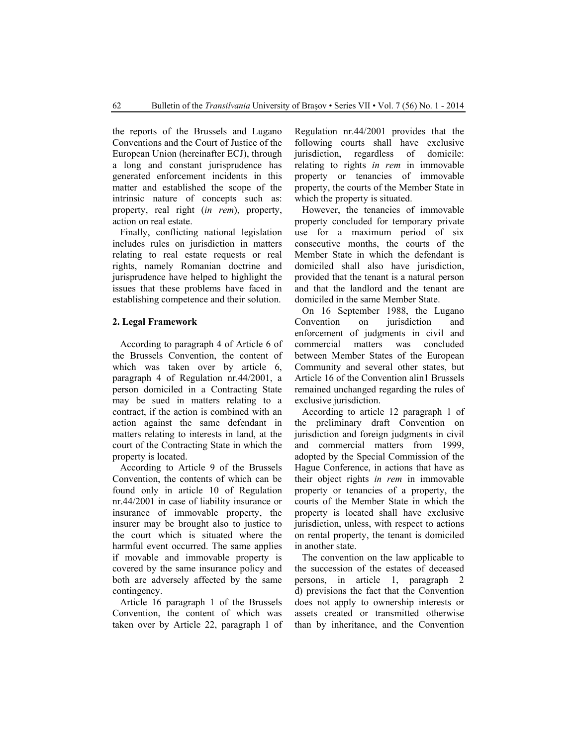the reports of the Brussels and Lugano Conventions and the Court of Justice of the European Union (hereinafter ECJ), through a long and constant jurisprudence has generated enforcement incidents in this matter and established the scope of the intrinsic nature of concepts such as: property, real right (*in rem*), property, action on real estate.

Finally, conflicting national legislation includes rules on jurisdiction in matters relating to real estate requests or real rights, namely Romanian doctrine and jurisprudence have helped to highlight the issues that these problems have faced in establishing competence and their solution.

# **2. Legal Framework**

According to paragraph 4 of Article 6 of the Brussels Convention, the content of which was taken over by article 6, paragraph 4 of Regulation nr.44/2001, a person domiciled in a Contracting State may be sued in matters relating to a contract, if the action is combined with an action against the same defendant in matters relating to interests in land, at the court of the Contracting State in which the property is located.

According to Article 9 of the Brussels Convention, the contents of which can be found only in article 10 of Regulation nr.44/2001 in case of liability insurance or insurance of immovable property, the insurer may be brought also to justice to the court which is situated where the harmful event occurred. The same applies if movable and immovable property is covered by the same insurance policy and both are adversely affected by the same contingency.

Article 16 paragraph 1 of the Brussels Convention, the content of which was taken over by Article 22, paragraph 1 of Regulation nr.44/2001 provides that the following courts shall have exclusive jurisdiction, regardless of domicile: relating to rights *in rem* in immovable property or tenancies of immovable property, the courts of the Member State in which the property is situated.

However, the tenancies of immovable property concluded for temporary private use for a maximum period of six consecutive months, the courts of the Member State in which the defendant is domiciled shall also have jurisdiction, provided that the tenant is a natural person and that the landlord and the tenant are domiciled in the same Member State.

On 16 September 1988, the Lugano Convention on jurisdiction and enforcement of judgments in civil and commercial matters was concluded between Member States of the European Community and several other states, but Article 16 of the Convention alin1 Brussels remained unchanged regarding the rules of exclusive jurisdiction.

According to article 12 paragraph 1 of the preliminary draft Convention on jurisdiction and foreign judgments in civil and commercial matters from 1999, adopted by the Special Commission of the Hague Conference, in actions that have as their object rights *in rem* in immovable property or tenancies of a property, the courts of the Member State in which the property is located shall have exclusive jurisdiction, unless, with respect to actions on rental property, the tenant is domiciled in another state.

The convention on the law applicable to the succession of the estates of deceased persons, in article 1, paragraph 2 d) previsions the fact that the Convention does not apply to ownership interests or assets created or transmitted otherwise than by inheritance, and the Convention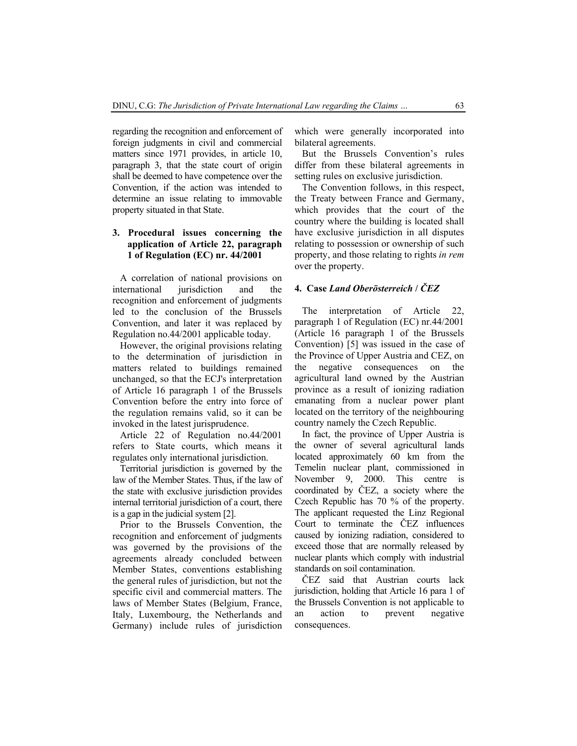regarding the recognition and enforcement of foreign judgments in civil and commercial matters since 1971 provides, in article 10, paragraph 3, that the state court of origin shall be deemed to have competence over the Convention, if the action was intended to determine an issue relating to immovable property situated in that State.

# **3. Procedural issues concerning the application of Article 22, paragraph 1 of Regulation (EC) nr. 44/2001**

A correlation of national provisions on international jurisdiction and the recognition and enforcement of judgments led to the conclusion of the Brussels Convention, and later it was replaced by Regulation no.44/2001 applicable today.

However, the original provisions relating to the determination of jurisdiction in matters related to buildings remained unchanged, so that the ECJ's interpretation of Article 16 paragraph 1 of the Brussels Convention before the entry into force of the regulation remains valid, so it can be invoked in the latest jurisprudence.

Article 22 of Regulation no.44/2001 refers to State courts, which means it regulates only international jurisdiction.

Territorial jurisdiction is governed by the law of the Member States. Thus, if the law of the state with exclusive jurisdiction provides internal territorial jurisdiction of a court, there is a gap in the judicial system [2].

Prior to the Brussels Convention, the recognition and enforcement of judgments was governed by the provisions of the agreements already concluded between Member States, conventions establishing the general rules of jurisdiction, but not the specific civil and commercial matters. The laws of Member States (Belgium, France, Italy, Luxembourg, the Netherlands and Germany) include rules of jurisdiction which were generally incorporated into bilateral agreements.

But the Brussels Convention's rules differ from these bilateral agreements in setting rules on exclusive jurisdiction.

The Convention follows, in this respect, the Treaty between France and Germany, which provides that the court of the country where the building is located shall have exclusive jurisdiction in all disputes relating to possession or ownership of such property, and those relating to rights *in rem* over the property.

### **4. Case** *Land Oberösterreich* **/** *ČEZ*

 The interpretation of Article 22, paragraph 1 of Regulation (EC) nr.44/2001 (Article 16 paragraph 1 of the Brussels Convention) [5] was issued in the case of the Province of Upper Austria and CEZ, on the negative consequences on the agricultural land owned by the Austrian province as a result of ionizing radiation emanating from a nuclear power plant located on the territory of the neighbouring country namely the Czech Republic.

In fact, the province of Upper Austria is the owner of several agricultural lands located approximately 60 km from the Temelin nuclear plant, commissioned in November 9, 2000. This centre is coordinated by ČEZ, a society where the Czech Republic has 70 % of the property. The applicant requested the Linz Regional Court to terminate the ČEZ influences caused by ionizing radiation, considered to exceed those that are normally released by nuclear plants which comply with industrial standards on soil contamination.

ČEZ said that Austrian courts lack jurisdiction, holding that Article 16 para 1 of the Brussels Convention is not applicable to an action to prevent negative consequences.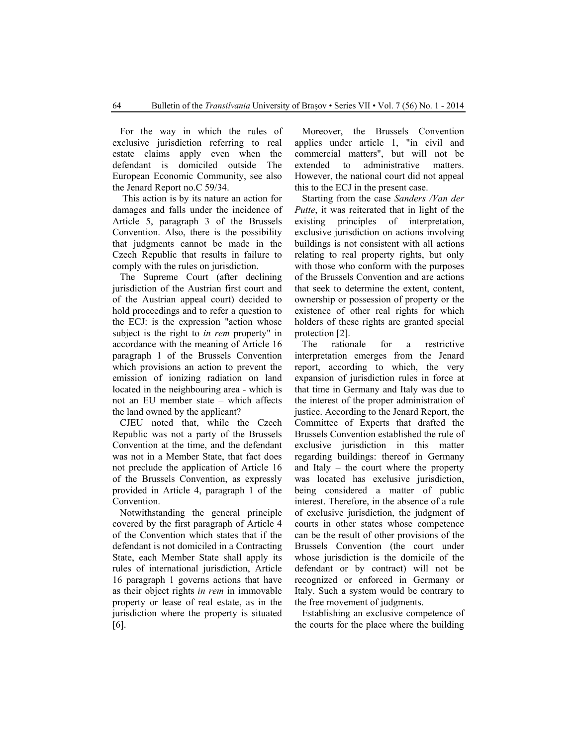For the way in which the rules of exclusive jurisdiction referring to real estate claims apply even when the defendant is domiciled outside The European Economic Community, see also the Jenard Report no.C 59/34.

 This action is by its nature an action for damages and falls under the incidence of Article 5, paragraph 3 of the Brussels Convention. Also, there is the possibility that judgments cannot be made in the Czech Republic that results in failure to comply with the rules on jurisdiction.

The Supreme Court (after declining jurisdiction of the Austrian first court and of the Austrian appeal court) decided to hold proceedings and to refer a question to the ECJ: is the expression "action whose subject is the right to *in rem* property" in accordance with the meaning of Article 16 paragraph 1 of the Brussels Convention which provisions an action to prevent the emission of ionizing radiation on land located in the neighbouring area - which is not an EU member state – which affects the land owned by the applicant?

CJEU noted that, while the Czech Republic was not a party of the Brussels Convention at the time, and the defendant was not in a Member State, that fact does not preclude the application of Article 16 of the Brussels Convention, as expressly provided in Article 4, paragraph 1 of the Convention.

Notwithstanding the general principle covered by the first paragraph of Article 4 of the Convention which states that if the defendant is not domiciled in a Contracting State, each Member State shall apply its rules of international jurisdiction, Article 16 paragraph 1 governs actions that have as their object rights *in rem* in immovable property or lease of real estate, as in the jurisdiction where the property is situated [6].

Moreover, the Brussels Convention applies under article 1, "in civil and commercial matters", but will not be extended to administrative matters. However, the national court did not appeal this to the ECJ in the present case.

Starting from the case *Sanders /Van der Putte*, it was reiterated that in light of the existing principles of interpretation, exclusive jurisdiction on actions involving buildings is not consistent with all actions relating to real property rights, but only with those who conform with the purposes of the Brussels Convention and are actions that seek to determine the extent, content, ownership or possession of property or the existence of other real rights for which holders of these rights are granted special protection [2].

The rationale for a restrictive interpretation emerges from the Jenard report, according to which, the very expansion of jurisdiction rules in force at that time in Germany and Italy was due to the interest of the proper administration of justice. According to the Jenard Report, the Committee of Experts that drafted the Brussels Convention established the rule of exclusive jurisdiction in this matter regarding buildings: thereof in Germany and Italy – the court where the property was located has exclusive jurisdiction, being considered a matter of public interest. Therefore, in the absence of a rule of exclusive jurisdiction, the judgment of courts in other states whose competence can be the result of other provisions of the Brussels Convention (the court under whose jurisdiction is the domicile of the defendant or by contract) will not be recognized or enforced in Germany or Italy. Such a system would be contrary to the free movement of judgments.

Establishing an exclusive competence of the courts for the place where the building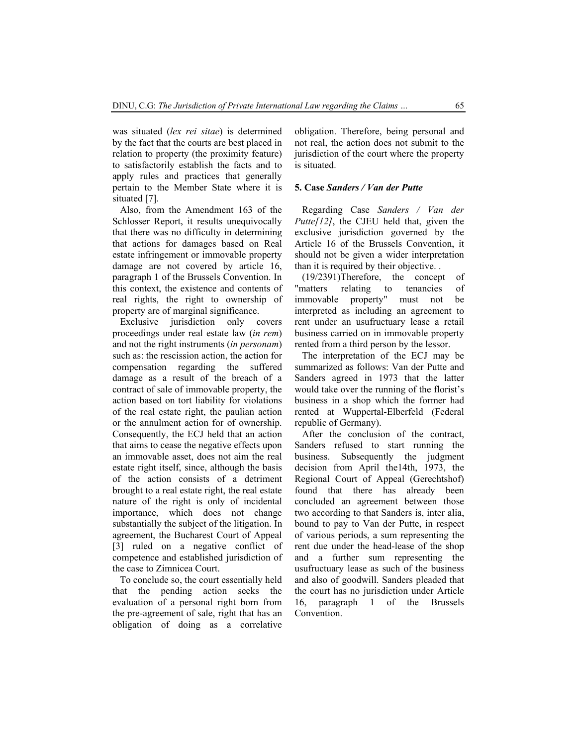was situated (*lex rei sitae*) is determined by the fact that the courts are best placed in relation to property (the proximity feature) to satisfactorily establish the facts and to apply rules and practices that generally pertain to the Member State where it is situated [7].

Also, from the Amendment 163 of the Schlosser Report, it results unequivocally that there was no difficulty in determining that actions for damages based on Real estate infringement or immovable property damage are not covered by article 16, paragraph 1 of the Brussels Convention. In this context, the existence and contents of real rights, the right to ownership of property are of marginal significance.

Exclusive jurisdiction only covers proceedings under real estate law (*in rem*) and not the right instruments (*in personam*) such as: the rescission action, the action for compensation regarding the suffered damage as a result of the breach of a contract of sale of immovable property, the action based on tort liability for violations of the real estate right, the paulian action or the annulment action for of ownership. Consequently, the ECJ held that an action that aims to cease the negative effects upon an immovable asset, does not aim the real estate right itself, since, although the basis of the action consists of a detriment brought to a real estate right, the real estate nature of the right is only of incidental importance, which does not change substantially the subject of the litigation. In agreement, the Bucharest Court of Appeal [3] ruled on a negative conflict of competence and established jurisdiction of the case to Zimnicea Court.

To conclude so, the court essentially held that the pending action seeks the evaluation of a personal right born from the pre-agreement of sale, right that has an obligation of doing as a correlative obligation. Therefore, being personal and not real, the action does not submit to the jurisdiction of the court where the property is situated.

## **5. Case** *Sanders / Van der Putte*

Regarding Case *Sanders / Van der Putte[12]*, the CJEU held that, given the exclusive jurisdiction governed by the Article 16 of the Brussels Convention, it should not be given a wider interpretation than it is required by their objective. .

(19/2391)Therefore, the concept of "matters relating to tenancies of immovable property" must not be interpreted as including an agreement to rent under an usufructuary lease a retail business carried on in immovable property rented from a third person by the lessor.

The interpretation of the ECJ may be summarized as follows: Van der Putte and Sanders agreed in 1973 that the latter would take over the running of the florist's business in a shop which the former had rented at Wuppertal-Elberfeld (Federal republic of Germany).

After the conclusion of the contract, Sanders refused to start running the business. Subsequently the judgment decision from April the14th, 1973, the Regional Court of Appeal (Gerechtshof) found that there has already been concluded an agreement between those two according to that Sanders is, inter alia, bound to pay to Van der Putte, in respect of various periods, a sum representing the rent due under the head-lease of the shop and a further sum representing the usufructuary lease as such of the business and also of goodwill. Sanders pleaded that the court has no jurisdiction under Article 16, paragraph 1 of the Brussels Convention.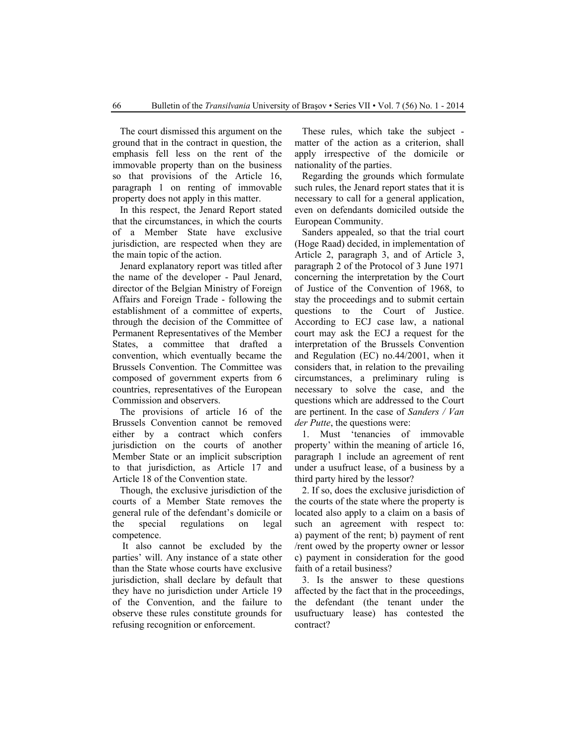The court dismissed this argument on the ground that in the contract in question, the emphasis fell less on the rent of the immovable property than on the business so that provisions of the Article 16, paragraph 1 on renting of immovable property does not apply in this matter.

In this respect, the Jenard Report stated that the circumstances, in which the courts of a Member State have exclusive jurisdiction, are respected when they are the main topic of the action.

Jenard explanatory report was titled after the name of the developer - Paul Jenard, director of the Belgian Ministry of Foreign Affairs and Foreign Trade - following the establishment of a committee of experts, through the decision of the Committee of Permanent Representatives of the Member States, a committee that drafted a convention, which eventually became the Brussels Convention. The Committee was composed of government experts from 6 countries, representatives of the European Commission and observers.

The provisions of article 16 of the Brussels Convention cannot be removed either by a contract which confers jurisdiction on the courts of another Member State or an implicit subscription to that jurisdiction, as Article 17 and Article 18 of the Convention state.

Though, the exclusive jurisdiction of the courts of a Member State removes the general rule of the defendant's domicile or the special regulations on legal competence.

 It also cannot be excluded by the parties' will. Any instance of a state other than the State whose courts have exclusive jurisdiction, shall declare by default that they have no jurisdiction under Article 19 of the Convention, and the failure to observe these rules constitute grounds for refusing recognition or enforcement.

These rules, which take the subject matter of the action as a criterion, shall apply irrespective of the domicile or nationality of the parties.

Regarding the grounds which formulate such rules, the Jenard report states that it is necessary to call for a general application, even on defendants domiciled outside the European Community.

Sanders appealed, so that the trial court (Hoge Raad) decided, in implementation of Article 2, paragraph 3, and of Article 3, paragraph 2 of the Protocol of 3 June 1971 concerning the interpretation by the Court of Justice of the Convention of 1968, to stay the proceedings and to submit certain questions to the Court of Justice. According to ECJ case law, a national court may ask the ECJ a request for the interpretation of the Brussels Convention and Regulation (EC) no.44/2001, when it considers that, in relation to the prevailing circumstances, a preliminary ruling is necessary to solve the case, and the questions which are addressed to the Court are pertinent. In the case of *Sanders / Van der Putte*, the questions were:

1. Must 'tenancies of immovable property' within the meaning of article 16, paragraph 1 include an agreement of rent under a usufruct lease, of a business by a third party hired by the lessor?

2. If so, does the exclusive jurisdiction of the courts of the state where the property is located also apply to a claim on a basis of such an agreement with respect to: a) payment of the rent; b) payment of rent /rent owed by the property owner or lessor c) payment in consideration for the good faith of a retail business?

3. Is the answer to these questions affected by the fact that in the proceedings, the defendant (the tenant under the usufructuary lease) has contested the contract?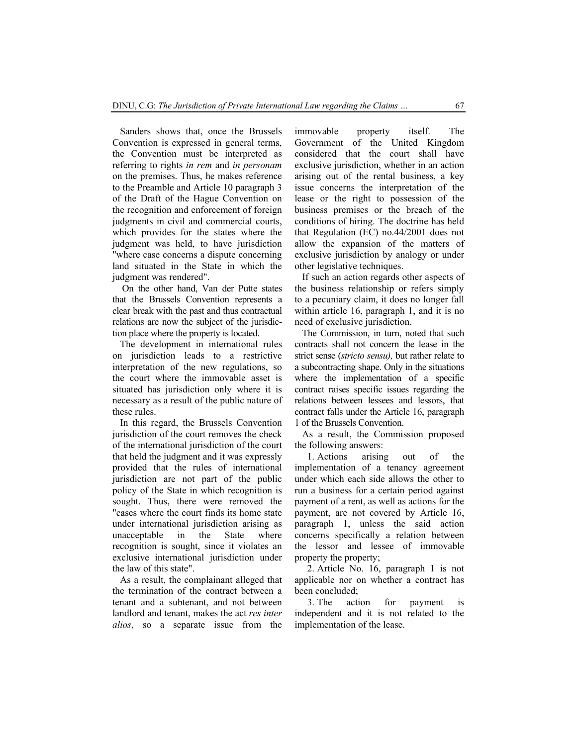Sanders shows that, once the Brussels Convention is expressed in general terms, the Convention must be interpreted as referring to rights *in rem* and *in personam* on the premises. Thus, he makes reference to the Preamble and Article 10 paragraph 3 of the Draft of the Hague Convention on the recognition and enforcement of foreign judgments in civil and commercial courts, which provides for the states where the judgment was held, to have jurisdiction "where case concerns a dispute concerning land situated in the State in which the judgment was rendered".

 On the other hand, Van der Putte states that the Brussels Convention represents a clear break with the past and thus contractual relations are now the subject of the jurisdiction place where the property is located.

The development in international rules on jurisdiction leads to a restrictive interpretation of the new regulations, so the court where the immovable asset is situated has jurisdiction only where it is necessary as a result of the public nature of these rules.

In this regard, the Brussels Convention jurisdiction of the court removes the check of the international jurisdiction of the court that held the judgment and it was expressly provided that the rules of international jurisdiction are not part of the public policy of the State in which recognition is sought. Thus, there were removed the "cases where the court finds its home state under international jurisdiction arising as unacceptable in the State where recognition is sought, since it violates an exclusive international jurisdiction under the law of this state".

As a result, the complainant alleged that the termination of the contract between a tenant and a subtenant, and not between landlord and tenant, makes the act *res inter alios*, so a separate issue from the immovable property itself. The Government of the United Kingdom considered that the court shall have exclusive jurisdiction, whether in an action arising out of the rental business, a key issue concerns the interpretation of the lease or the right to possession of the business premises or the breach of the conditions of hiring. The doctrine has held that Regulation (EC) no.44/2001 does not allow the expansion of the matters of exclusive jurisdiction by analogy or under other legislative techniques.

If such an action regards other aspects of the business relationship or refers simply to a pecuniary claim, it does no longer fall within article 16, paragraph 1, and it is no need of exclusive jurisdiction.

The Commission, in turn, noted that such contracts shall not concern the lease in the strict sense (*stricto sensu),* but rather relate to a subcontracting shape. Only in the situations where the implementation of a specific contract raises specific issues regarding the relations between lessees and lessors, that contract falls under the Article 16, paragraph 1 of the Brussels Convention.

As a result, the Commission proposed the following answers:

1. Actions arising out of the implementation of a tenancy agreement under which each side allows the other to run a business for a certain period against payment of a rent, as well as actions for the payment, are not covered by Article 16, paragraph 1, unless the said action concerns specifically a relation between the lessor and lessee of immovable property the property;

2. Article No. 16, paragraph 1 is not applicable nor on whether a contract has been concluded;

3. The action for payment is independent and it is not related to the implementation of the lease.